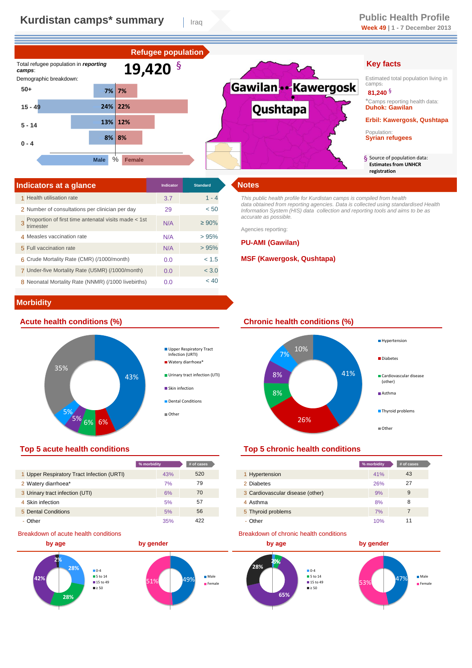

| Indicators at a glance                                            | Indicator | <b>Standard</b> | <b>Notes</b>       |
|-------------------------------------------------------------------|-----------|-----------------|--------------------|
| 1 Health utilisation rate                                         | 3.7       | $1 - 4$         | This pu            |
| 2 Number of consultations per clinician per day                   | 29        | < 50            | data ob<br>Informa |
| Proportion of first time antenatal visits made < 1st<br>trimester | N/A       | $\geq 90\%$     | accurat<br>Agencie |
| 4 Measles vaccination rate                                        | N/A       | >95%            |                    |
| 5 Full vaccination rate                                           | N/A       | >95%            | <b>PU-A</b>        |
| 6 Crude Mortality Rate (CMR) (/1000/month)                        | 0.0       | < 1.5           | <b>MSF</b>         |
| 7 Under-five Mortality Rate (U5MR) (/1000/month)                  | 0.0       | < 3.0           |                    |
| 8 Neonatal Mortality Rate (NNMR) (/1000 livebirths)               | 0.0       | < 40            |                    |

*This public health profile for Kurdistan camps is compiled from health data obtained from reporting agencies. Data is collected using standardised Health Information System (HIS) data collection and reporting tools and aims to be as accurate as possible.* 

Agencies reporting:

## **PU-AMI (Gawilan)**

# **MSF (Kawergosk, Qushtapa)**

# **Morbidity**





# **Top 5 acute health conditions Top 5 chronic health conditions**

|                                            | % morbidity | # of cases |
|--------------------------------------------|-------------|------------|
| 1 Upper Respiratory Tract Infection (URTI) | 43%         | 520        |
| 2 Watery diarrhoea*                        | 7%          | 79         |
| 3 Urinary tract infection (UTI)            | 6%          | 70         |
| 4 Skin infection                           | 5%          | 57         |
| 5 Dental Conditions                        | 5%          | 56         |
| - Other                                    | 35%         | 422        |

# Breakdown of acute health conditions





| % morbidity |     | # of cases |                                  | % morbidity | # of cases |
|-------------|-----|------------|----------------------------------|-------------|------------|
|             | 43% | 520        | 1 Hypertension                   | 41%         | 43         |
|             | 7%  | 79         | 2 Diabetes                       | 26%         | 27         |
|             | 6%  | 70         | 3 Cardiovascular disease (other) | 9%          | 9          |
|             | 5%  | 57         | 4 Asthma                         | 8%          | 8          |
|             | 5%  | 56         | 5 Thyroid problems               | 7%          |            |
|             | 35% | 422        | - Other                          | 10%         | 11         |

### Breakdown of chronic health conditions